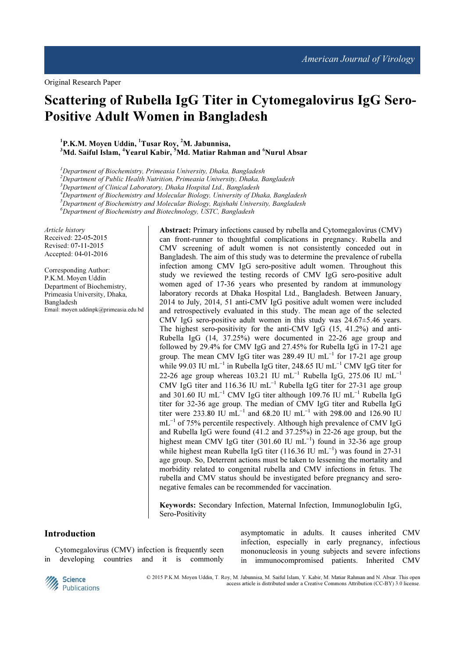Original Research Paper

# Scattering of Rubella IgG Titer in Cytomegalovirus IgG Sero-Positive Adult Women in Bangladesh

 ${}^{1}P$ .K.M. Moyen Uddin,  ${}^{1}T$ usar Roy,  ${}^{2}M$ . Jabunnisa, <sup>3</sup>Md. Saiful Islam, <sup>4</sup>Yearul Kabir, <sup>5</sup>Md. Matiar Rahman and <sup>6</sup>Nurul Absar

 $1$ Department of Biochemistry, Primeasia University, Dhaka, Bangladesh

<sup>2</sup>Department of Public Health Nutrition, Primeasia University, Dhaka, Bangladesh

<sup>3</sup>Department of Clinical Laboratory, Dhaka Hospital Ltd., Bangladesh

<sup>4</sup>Department of Biochemistry and Molecular Biology, University of Dhaka, Bangladesh

 $5$ Department of Biochemistry and Molecular Biology, Rajshahi University, Bangladesh

 ${}^6$ Department of Biochemistry and Biotechnology, USTC, Bangladesh

Article history Received: 22-05-2015 Revised: 07-11-2015 Accepted: 04-01-2016

Corresponding Author: P.K.M. Moyen Uddin Department of Biochemistry, Primeasia University, Dhaka, Bangladesh Email: moyen.uddinpk@primeasia.edu.bd Abstract: Primary infections caused by rubella and Cytomegalovirus (CMV) can front-runner to thoughtful complications in pregnancy. Rubella and CMV screening of adult women is not consistently conceded out in Bangladesh. The aim of this study was to determine the prevalence of rubella infection among CMV IgG sero-positive adult women. Throughout this study we reviewed the testing records of CMV IgG sero-positive adult women aged of 17-36 years who presented by random at immunology laboratory records at Dhaka Hospital Ltd., Bangladesh. Between January, 2014 to July, 2014, 51 anti-CMV IgG positive adult women were included and retrospectively evaluated in this study. The mean age of the selected CMV IgG sero-positive adult women in this study was  $24.67 \pm 5.46$  years. The highest sero-positivity for the anti-CMV IgG (15, 41.2%) and anti-Rubella IgG (14, 37.25%) were documented in 22-26 age group and followed by 29.4% for CMV IgG and 27.45% for Rubella IgG in 17-21 age group. The mean CMV IgG titer was 289.49 IU mL<sup>-1</sup> for 17-21 age group while 99.03 IU mL<sup>−</sup><sup>1</sup> in Rubella IgG titer, 248.65 IU mL<sup>−</sup><sup>1</sup> CMV IgG titer for 22-26 age group whereas 103.21 IU mL<sup>-1</sup> Rubella IgG, 275.06 IU mL<sup>-1</sup> CMV IgG titer and 116.36 IU mL<sup>-1</sup> Rubella IgG titer for 27-31 age group and 301.60 IU mL<sup>-1</sup> CMV IgG titer although 109.76 IU mL<sup>-1</sup> Rubella IgG titer for 32-36 age group. The median of CMV IgG titer and Rubella IgG titer were 233.80 IU mL<sup>-1</sup> and 68.20 IU mL<sup>-1</sup> with 298.00 and 126.90 IU mL<sup>-1</sup> of 75% percentile respectively. Although high prevalence of CMV IgG and Rubella IgG were found (41.2 and 37.25%) in 22-26 age group, but the highest mean CMV IgG titer (301.60 IU mL<sup>-1</sup>) found in 32-36 age group while highest mean Rubella IgG titer (116.36 IU mL<sup>-1</sup>) was found in 27-31 age group. So, Deterrent actions must be taken to lessening the mortality and morbidity related to congenital rubella and CMV infections in fetus. The rubella and CMV status should be investigated before pregnancy and seronegative females can be recommended for vaccination.

Keywords: Secondary Infection, Maternal Infection, Immunoglobulin IgG, Sero-Positivity

### Introduction

Cytomegalovirus (CMV) infection is frequently seen in developing countries and it is commonly asymptomatic in adults. It causes inherited CMV infection, especially in early pregnancy, infectious mononucleosis in young subjects and severe infections in immunocompromised patients. Inherited CMV



© 2015 P.K.M. Moyen Uddin, T. Roy, M. Jabunnisa, M. Saiful Islam, Y. Kabir, M. Matiar Rahman and N. Absar. This open access article is distributed under a Creative Commons Attribution (CC-BY) 3.0 license.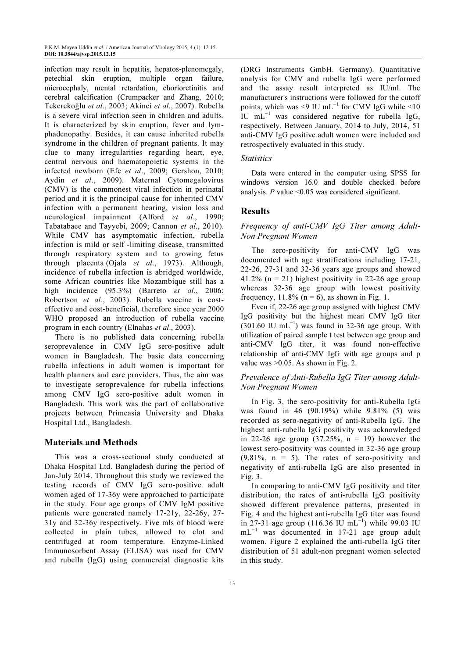infection may result in hepatitis, hepatos-plenomegaly, petechial skin eruption, multiple organ failure, microcephaly, mental retardation, chorioretinitis and cerebral calcification (Crumpacker and Zhang, 2010; Tekerekoğlu et al., 2003; Akinci et al., 2007). Rubella is a severe viral infection seen in children and adults. It is characterized by skin eruption, fever and lymphadenopathy. Besides, it can cause inherited rubella syndrome in the children of pregnant patients. It may clue to many irregularities regarding heart, eye, central nervous and haematopoietic systems in the infected newborn (Efe et al., 2009; Gershon, 2010; Aydin et al., 2009). Maternal Cytomegalovirus (CMV) is the commonest viral infection in perinatal period and it is the principal cause for inherited CMV infection with a permanent hearing, vision loss and neurological impairment (Alford et al., 1990; Tabatabaee and Tayyebi, 2009; Cannon et al., 2010). While CMV has asymptomatic infection, rubella infection is mild or self -limiting disease, transmitted through respiratory system and to growing fetus through placenta (Ojala et al., 1973). Although, incidence of rubella infection is abridged worldwide, some African countries like Mozambique still has a high incidence (95.3%) (Barreto et al., 2006; Robertson et al., 2003). Rubella vaccine is costeffective and cost-beneficial, therefore since year 2000 WHO proposed an introduction of rubella vaccine program in each country (Elnahas et al., 2003).

There is no published data concerning rubella seroprevalence in CMV IgG sero-positive adult women in Bangladesh. The basic data concerning rubella infections in adult women is important for health planners and care providers. Thus, the aim was to investigate seroprevalence for rubella infections among CMV IgG sero-positive adult women in Bangladesh. This work was the part of collaborative projects between Primeasia University and Dhaka Hospital Ltd., Bangladesh.

# Materials and Methods

This was a cross-sectional study conducted at Dhaka Hospital Ltd. Bangladesh during the period of Jan-July 2014. Throughout this study we reviewed the testing records of CMV IgG sero-positive adult women aged of 17-36y were approached to participate in the study. Four age groups of CMV IgM positive patients were generated namely 17-21y, 22-26y, 27- 31y and 32-36y respectively. Five mls of blood were collected in plain tubes, allowed to clot and centrifuged at room temperature. Enzyme-Linked Immunosorbent Assay (ELISA) was used for CMV and rubella (IgG) using commercial diagnostic kits

(DRG Instruments GmbH. Germany). Quantitative analysis for CMV and rubella IgG were performed and the assay result interpreted as IU/ml. The manufacturer's instructions were followed for the cutoff points, which was <9 IU mL<sup>-1</sup> for CMV IgG while <10 IU mL<sup>-1</sup> was considered negative for rubella IgG, respectively. Between January, 2014 to July, 2014, 51 anti-CMV IgG positive adult women were included and retrospectively evaluated in this study.

#### **Statistics**

Data were entered in the computer using SPSS for windows version 16.0 and double checked before analysis.  $P$  value <0.05 was considered significant.

## Results

## Frequency of anti-CMV IgG Titer among Adult-Non Pregnant Women

The sero-positivity for anti-CMV IgG was documented with age stratifications including 17-21, 22-26, 27-31 and 32-36 years age groups and showed 41.2% ( $n = 21$ ) highest positivity in 22-26 age group whereas 32-36 age group with lowest positivity frequency,  $11.8\%$  (n = 6), as shown in Fig. 1.

Even if, 22-26 age group assigned with highest CMV IgG positivity but the highest mean CMV IgG titer  $(301.60 \text{ IU } \text{mL}^{-1})$  was found in 32-36 age group. With utilization of paired sample t test between age group and anti-CMV IgG titer, it was found non-effective relationship of anti-CMV IgG with age groups and p value was >0.05. As shown in Fig. 2.

## Prevalence of Anti-Rubella IgG Titer among Adult-Non Pregnant Women

In Fig. 3, the sero-positivity for anti-Rubella IgG was found in 46 (90.19%) while 9.81% (5) was recorded as sero-negativity of anti-Rubella IgG. The highest anti-rubella IgG positivity was acknowledged in 22-26 age group  $(37.25\% , n = 19)$  however the lowest sero-positivity was counted in 32-36 age group  $(9.81\%$ ,  $n = 5)$ . The rates of sero-positivity and negativity of anti-rubella IgG are also presented in Fig. 3.

In comparing to anti-CMV IgG positivity and titer distribution, the rates of anti-rubella IgG positivity showed different prevalence patterns, presented in Fig. 4 and the highest anti-rubella IgG titer was found in 27-31 age group (116.36 IU mL<sup>-1</sup>) while 99.03 IU mL<sup>−</sup><sup>1</sup> was documented in 17-21 age group adult women. Figure 2 explained the anti-rubella IgG titer distribution of 51 adult-non pregnant women selected in this study.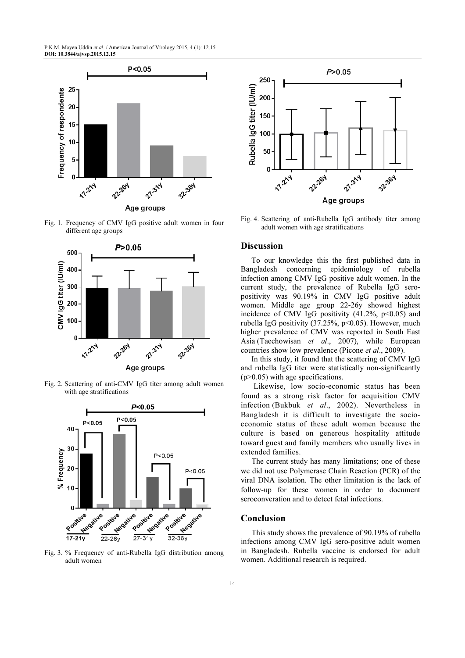P.K.M. Moyen Uddin et al. / American Journal of Virology 2015, 4 (1): 12.15 DOI: 10.3844/ajvsp.2015.12.15



Fig. 1. Frequency of CMV IgG positive adult women in four different age groups



Fig. 2. Scattering of anti-CMV IgG titer among adult women with age stratifications



Fig. 3. % Frequency of anti-Rubella IgG distribution among adult women



Fig. 4. Scattering of anti-Rubella IgG antibody titer among adult women with age stratifications

#### **Discussion**

To our knowledge this the first published data in Bangladesh concerning epidemiology of rubella infection among CMV IgG positive adult women. In the current study, the prevalence of Rubella IgG seropositivity was 90.19% in CMV IgG positive adult women. Middle age group 22-26y showed highest incidence of CMV IgG positivity  $(41.2\%, p<0.05)$  and rubella IgG positivity  $(37.25\%, p<0.05)$ . However, much higher prevalence of CMV was reported in South East Asia (Taechowisan et al., 2007), while European countries show low prevalence (Picone et al., 2009).

In this study, it found that the scattering of CMV IgG and rubella IgG titer were statistically non-significantly (p>0.05) with age specifications.

 Likewise, low socio-economic status has been found as a strong risk factor for acquisition CMV infection (Bukbuk et al., 2002). Nevertheless in Bangladesh it is difficult to investigate the socioeconomic status of these adult women because the culture is based on generous hospitality attitude toward guest and family members who usually lives in extended families.

The current study has many limitations; one of these we did not use Polymerase Chain Reaction (PCR) of the viral DNA isolation. The other limitation is the lack of follow-up for these women in order to document seroconveration and to detect fetal infections.

#### Conclusion

This study shows the prevalence of 90.19% of rubella infections among CMV IgG sero-positive adult women in Bangladesh. Rubella vaccine is endorsed for adult women. Additional research is required.